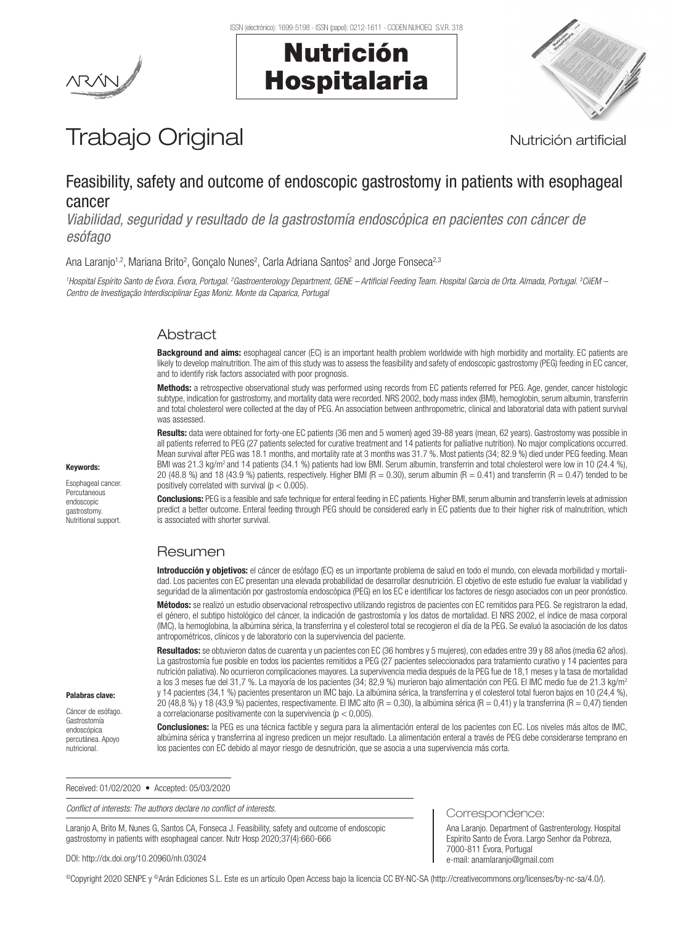Nutrición

Hospitalaria



# Trabajo Original **Nutrición artificial**

# Feasibility, safety and outcome of endoscopic gastrostomy in patients with esophageal cancer

*Viabilidad, seguridad y resultado de la gastrostomía endoscópica en pacientes con cáncer de esófago*

Ana Laranjo<sup>1,2</sup>, Mariana Brito<sup>2</sup>, Gonçalo Nunes<sup>2</sup>, Carla Adriana Santos<sup>2</sup> and Jorge Fonseca<sup>2,3</sup>

<sup>1</sup>Hospital Espírito Santo de Évora. Évora, Portugal. <sup>2</sup>Gastroenterology Department, GENE – Artificial Feeding Team. Hospital Garcia de Orta. Almada, Portugal. <sup>3</sup>CiiEM – *Centro de Investigação Interdisciplinar Egas Moniz. Monte da Caparica, Portugal*

# Abstract

Background and aims: esophageal cancer (EC) is an important health problem worldwide with high morbidity and mortality. EC patients are likely to develop malnutrition. The aim of this study was to assess the feasibility and safety of endoscopic gastrostomy (PEG) feeding in EC cancer, and to identify risk factors associated with poor prognosis.

Methods: a retrospective observational study was performed using records from EC patients referred for PEG. Age, gender, cancer histologic subtype, indication for gastrostomy, and mortality data were recorded. NRS 2002, body mass index (BMI), hemoglobin, serum albumin, transferrin and total cholesterol were collected at the day of PEG. An association between anthropometric, clinical and laboratorial data with patient survival was assessed.

Results: data were obtained for forty-one EC patients (36 men and 5 women) aged 39-88 years (mean, 62 years). Gastrostomy was possible in all patients referred to PEG (27 patients selected for curative treatment and 14 patients for palliative nutrition). No major complications occurred. Mean survival after PEG was 18.1 months, and mortality rate at 3 months was 31.7 %. Most patients (34; 82.9 %) died under PEG feeding. Mean BMI was 21.3 kg/m<sup>2</sup> and 14 patients (34.1 %) patients had low BMI. Serum albumin, transferrin and total cholesterol were low in 10 (24.4 %), 20 (48.8 %) and 18 (43.9 %) patients, respectively. Higher BMI (R = 0.30), serum albumin (R = 0.41) and transferrin (R = 0.47) tended to be positively correlated with survival ( $p < 0.005$ ).

Conclusions: PEG is a feasible and safe technique for enteral feeding in EC patients. Higher BMI, serum albumin and transferrin levels at admission predict a better outcome. Enteral feeding through PEG should be considered early in EC patients due to their higher risk of malnutrition, which is associated with shorter survival.

# Resumen

Introducción y objetivos: el cáncer de esófago (EC) es un importante problema de salud en todo el mundo, con elevada morbilidad y mortalidad. Los pacientes con EC presentan una elevada probabilidad de desarrollar desnutrición. El objetivo de este estudio fue evaluar la viabilidad y seguridad de la alimentación por gastrostomía endoscópica (PEG) en los EC e identificar los factores de riesgo asociados con un peor pronóstico.

Métodos: se realizó un estudio observacional retrospectivo utilizando registros de pacientes con EC remitidos para PEG. Se registraron la edad, el género, el subtipo histológico del cáncer, la indicación de gastrostomía y los datos de mortalidad. El NRS 2002, el índice de masa corporal (IMC), la hemoglobina, la albúmina sérica, la transferrina y el colesterol total se recogieron el día de la PEG. Se evaluó la asociación de los datos antropométricos, clínicos y de laboratorio con la supervivencia del paciente.

Resultados: se obtuvieron datos de cuarenta y un pacientes con EC (36 hombres y 5 mujeres), con edades entre 39 y 88 años (media 62 años). La gastrostomía fue posible en todos los pacientes remitidos a PEG (27 pacientes seleccionados para tratamiento curativo y 14 pacientes para nutrición paliativa). No ocurrieron complicaciones mayores. La supervivencia media después de la PEG fue de 18,1 meses y la tasa de mortalidad a los 3 meses fue del 31,7 %. La mayoría de los pacientes (34; 82,9 %) murieron bajo alimentación con PEG. El IMC medio fue de 21.3 kg/m2 y 14 pacientes (34,1 %) pacientes presentaron un IMC bajo. La albúmina sérica, la transferrina y el colesterol total fueron bajos en 10 (24,4 %), 20 (48,8 %) y 18 (43,9 %) pacientes, respectivamente. El IMC alto (R = 0,30), la albúmina sérica (R = 0,41) y la transferrina (R = 0,47) tienden a correlacionarse positivamente con la supervivencia ( $p < 0,005$ ).

Conclusiones: la PEG es una técnica factible y segura para la alimentación enteral de los pacientes con EC. Los niveles más altos de IMC, albúmina sérica y transferrina al ingreso predicen un mejor resultado. La alimentación enteral a través de PEG debe considerarse temprano en los pacientes con EC debido al mayor riesgo de desnutrición, que se asocia a una supervivencia más corta.

Correspondence:

7000-811 Évora, Portugal e-mail: anamlaranjo@gmail.com

Ana Laranjo. Department of Gastrenterology. Hospital Espírito Santo de Évora. Largo Senhor da Pobreza,

Received: 01/02/2020 • Accepted: 05/03/2020

*Conflict of interests: The authors declare no conflict of interests.*

Laranjo A, Brito M, Nunes G, Santos CA, Fonseca J. Feasibility, safety and outcome of endoscopic gastrostomy in patients with esophageal cancer. Nutr Hosp 2020;37(4):660-666

DOI: http://dx.doi.org/10.20960/nh.03024

©Copyright 2020 SENPE y ©Arán Ediciones S.L. Este es un artículo Open Access bajo la licencia CC BY-NC-SA (http://creativecommons.org/licenses/by-nc-sa/4.0/).

#### Keywords:

Esophageal cancer. **Percutaneous** endoscopic gastrostomy. Nutritional support.

Palabras clave: Cáncer de esófago. Gastrostomía endoscópica percutánea. Apoyo nutricional.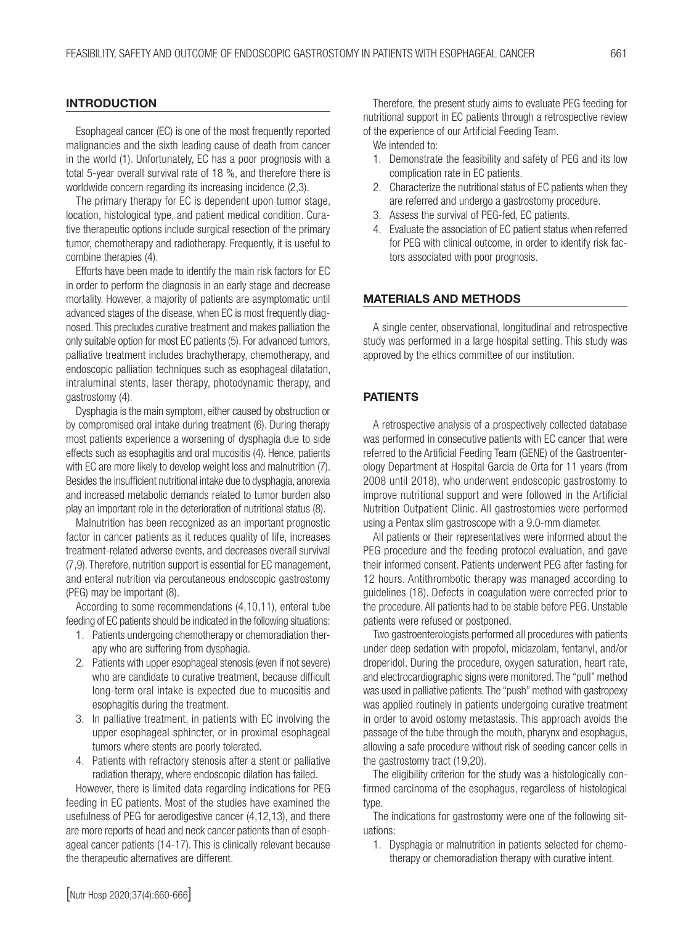#### **INTRODUCTION**

Esophageal cancer (EC) is one of the most frequently reported malignancies and the sixth leading cause of death from cancer in the world (1). Unfortunately, EC has a poor prognosis with a total 5-year overall survival rate of 18 %, and therefore there is worldwide concern regarding its increasing incidence (2,3).

The primary therapy for EC is dependent upon tumor stage, location, histological type, and patient medical condition. Curative therapeutic options include surgical resection of the primary tumor, chemotherapy and radiotherapy. Frequently, it is useful to combine therapies (4).

Efforts have been made to identify the main risk factors for EC in order to perform the diagnosis in an early stage and decrease mortality. However, a majority of patients are asymptomatic until advanced stages of the disease, when EC is most frequently diagnosed. This precludes curative treatment and makes palliation the only suitable option for most EC patients (5). For advanced tumors, palliative treatment includes brachytherapy, chemotherapy, and endoscopic palliation techniques such as esophageal dilatation, intraluminal stents, laser therapy, photodynamic therapy, and gastrostomy (4).

Dysphagia is the main symptom, either caused by obstruction or by compromised oral intake during treatment (6). During therapy most patients experience a worsening of dysphagia due to side effects such as esophagitis and oral mucositis (4). Hence, patients with EC are more likely to develop weight loss and malnutrition (7). Besides the insufficient nutritional intake due to dysphagia, anorexia and increased metabolic demands related to tumor burden also play an important role in the deterioration of nutritional status (8).

Malnutrition has been recognized as an important prognostic factor in cancer patients as it reduces quality of life, increases treatment-related adverse events, and decreases overall survival (7,9). Therefore, nutrition support is essential for EC management, and enteral nutrition via percutaneous endoscopic gastrostomy (PEG) may be important (8).

According to some recommendations (4,10,11), enteral tube feeding of EC patients should be indicated in the following situations:

- 1. Patients undergoing chemotherapy or chemoradiation therapy who are suffering from dysphagia.
- 2. Patients with upper esophageal stenosis (even if not severe) who are candidate to curative treatment, because difficult long-term oral intake is expected due to mucositis and esophagitis during the treatment.
- 3. In palliative treatment, in patients with EC involving the upper esophageal sphincter, or in proximal esophageal tumors where stents are poorly tolerated.
- 4. Patients with refractory stenosis after a stent or palliative radiation therapy, where endoscopic dilation has failed.

However, there is limited data regarding indications for PEG feeding in EC patients. Most of the studies have examined the usefulness of PEG for aerodigestive cancer (4,12,13), and there are more reports of head and neck cancer patients than of esophageal cancer patients (14-17). This is clinically relevant because the therapeutic alternatives are different.

Therefore, the present study aims to evaluate PEG feeding for nutritional support in EC patients through a retrospective review of the experience of our Artificial Feeding Team.

We intended to:

- 1. Demonstrate the feasibility and safety of PEG and its low complication rate in EC patients.
- 2. Characterize the nutritional status of EC patients when they are referred and undergo a gastrostomy procedure.
- 3. Assess the survival of PEG-fed, EC patients.
- 4. Evaluate the association of EC patient status when referred for PEG with clinical outcome, in order to identify risk factors associated with poor prognosis.

#### MATERIALS AND METHODS

A single center, observational, longitudinal and retrospective study was performed in a large hospital setting. This study was approved by the ethics committee of our institution.

#### PATIENTS

A retrospective analysis of a prospectively collected database was performed in consecutive patients with EC cancer that were referred to the Artificial Feeding Team (GENE) of the Gastroenterology Department at Hospital Garcia de Orta for 11 years (from 2008 until 2018), who underwent endoscopic gastrostomy to improve nutritional support and were followed in the Artificial Nutrition Outpatient Clinic. All gastrostomies were performed using a Pentax slim gastroscope with a 9.0-mm diameter.

All patients or their representatives were informed about the PEG procedure and the feeding protocol evaluation, and gave their informed consent. Patients underwent PEG after fasting for 12 hours. Antithrombotic therapy was managed according to guidelines (18). Defects in coagulation were corrected prior to the procedure. All patients had to be stable before PEG. Unstable patients were refused or postponed.

Two gastroenterologists performed all procedures with patients under deep sedation with propofol, midazolam, fentanyl, and/or droperidol. During the procedure, oxygen saturation, heart rate, and electrocardiographic signs were monitored. The "pull" method was used in palliative patients. The "push" method with gastropexy was applied routinely in patients undergoing curative treatment in order to avoid ostomy metastasis. This approach avoids the passage of the tube through the mouth, pharynx and esophagus, allowing a safe procedure without risk of seeding cancer cells in the gastrostomy tract (19,20).

The eligibility criterion for the study was a histologically confirmed carcinoma of the esophagus, regardless of histological type.

The indications for gastrostomy were one of the following situations:

1. Dysphagia or malnutrition in patients selected for chemotherapy or chemoradiation therapy with curative intent.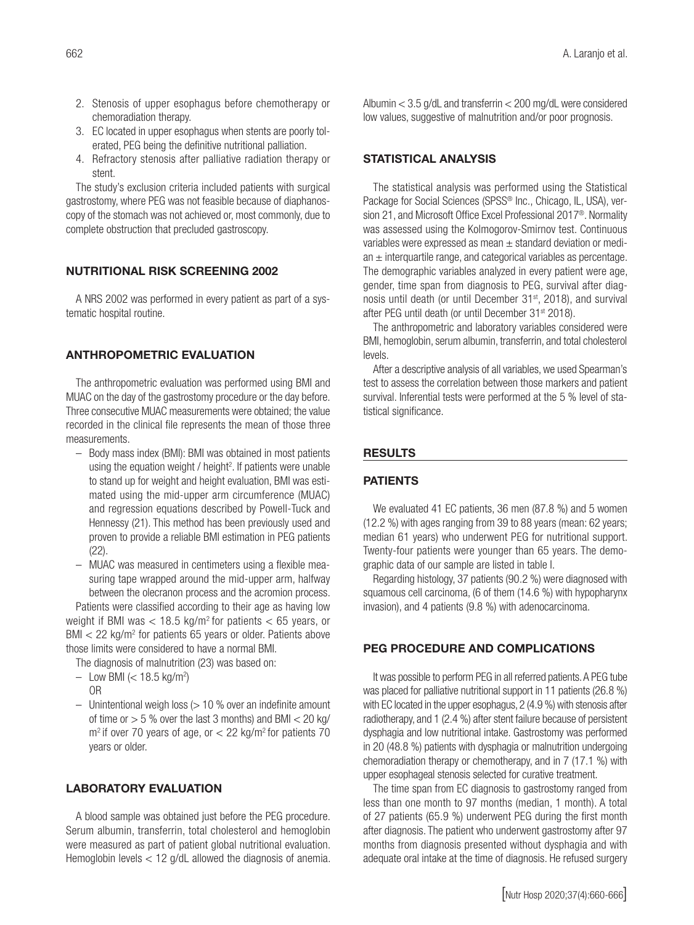- 2. Stenosis of upper esophagus before chemotherapy or chemoradiation therapy.
- 3. EC located in upper esophagus when stents are poorly tolerated, PEG being the definitive nutritional palliation.
- 4. Refractory stenosis after palliative radiation therapy or stent.

The study's exclusion criteria included patients with surgical gastrostomy, where PEG was not feasible because of diaphanoscopy of the stomach was not achieved or, most commonly, due to complete obstruction that precluded gastroscopy.

#### NUTRITIONAL RISK SCREENING 2002

A NRS 2002 was performed in every patient as part of a systematic hospital routine.

#### ANTHROPOMETRIC EVALUATION

The anthropometric evaluation was performed using BMI and MUAC on the day of the gastrostomy procedure or the day before. Three consecutive MUAC measurements were obtained; the value recorded in the clinical file represents the mean of those three measurements.

- Body mass index (BMI): BMI was obtained in most patients using the equation weight / height<sup>2</sup>. If patients were unable to stand up for weight and height evaluation, BMI was estimated using the mid-upper arm circumference (MUAC) and regression equations described by Powell-Tuck and Hennessy (21). This method has been previously used and proven to provide a reliable BMI estimation in PEG patients (22).
- MUAC was measured in centimeters using a flexible measuring tape wrapped around the mid-upper arm, halfway between the olecranon process and the acromion process.

Patients were classified according to their age as having low weight if BMI was  $<$  18.5 kg/m<sup>2</sup> for patients  $<$  65 years, or  $BMI < 22$  kg/m<sup>2</sup> for patients 65 years or older. Patients above those limits were considered to have a normal BMI.

The diagnosis of malnutrition (23) was based on:

- Low BMI (< 18.5 kg/m<sup>2</sup>) OR
- $-$  Unintentional weigh loss ( $> 10$  % over an indefinite amount of time or  $> 5$  % over the last 3 months) and BMI  $< 20$  kg/  $m<sup>2</sup>$  if over 70 years of age, or  $<$  22 kg/m<sup>2</sup> for patients 70 years or older.

# LABORATORY EVALUATION

A blood sample was obtained just before the PEG procedure. Serum albumin, transferrin, total cholesterol and hemoglobin were measured as part of patient global nutritional evaluation. Hemoglobin levels < 12 g/dL allowed the diagnosis of anemia. Albumin < 3.5 g/dL and transferrin < 200 mg/dL were considered low values, suggestive of malnutrition and/or poor prognosis.

#### STATISTICAL ANALYSIS

The statistical analysis was performed using the Statistical Package for Social Sciences (SPSS® Inc., Chicago, IL, USA), version 21, and Microsoft Office Excel Professional 2017®. Normality was assessed using the Kolmogorov-Smirnov test. Continuous variables were expressed as mean  $\pm$  standard deviation or median  $\pm$  interquartile range, and categorical variables as percentage. The demographic variables analyzed in every patient were age, gender, time span from diagnosis to PEG, survival after diagnosis until death (or until December 31<sup>st</sup>, 2018), and survival after PEG until death (or until December 31<sup>st</sup> 2018).

The anthropometric and laboratory variables considered were BMI, hemoglobin, serum albumin, transferrin, and total cholesterol levels.

After a descriptive analysis of all variables, we used Spearman's test to assess the correlation between those markers and patient survival. Inferential tests were performed at the 5 % level of statistical significance.

#### **RESULTS**

#### PATIENTS

We evaluated 41 EC patients, 36 men (87.8 %) and 5 women (12.2 %) with ages ranging from 39 to 88 years (mean: 62 years; median 61 years) who underwent PEG for nutritional support. Twenty-four patients were younger than 65 years. The demographic data of our sample are listed in table I.

Regarding histology, 37 patients (90.2 %) were diagnosed with squamous cell carcinoma, (6 of them (14.6 %) with hypopharynx invasion), and 4 patients (9.8 %) with adenocarcinoma.

# PEG PROCEDURE AND COMPLICATIONS

It was possible to perform PEG in all referred patients. A PEG tube was placed for palliative nutritional support in 11 patients (26.8 %) with EC located in the upper esophagus, 2 (4.9 %) with stenosis after radiotherapy, and 1 (2.4 %) after stent failure because of persistent dysphagia and low nutritional intake. Gastrostomy was performed in 20 (48.8 %) patients with dysphagia or malnutrition undergoing chemoradiation therapy or chemotherapy, and in 7 (17.1 %) with upper esophageal stenosis selected for curative treatment.

The time span from EC diagnosis to gastrostomy ranged from less than one month to 97 months (median, 1 month). A total of 27 patients (65.9 %) underwent PEG during the first month after diagnosis. The patient who underwent gastrostomy after 97 months from diagnosis presented without dysphagia and with adequate oral intake at the time of diagnosis. He refused surgery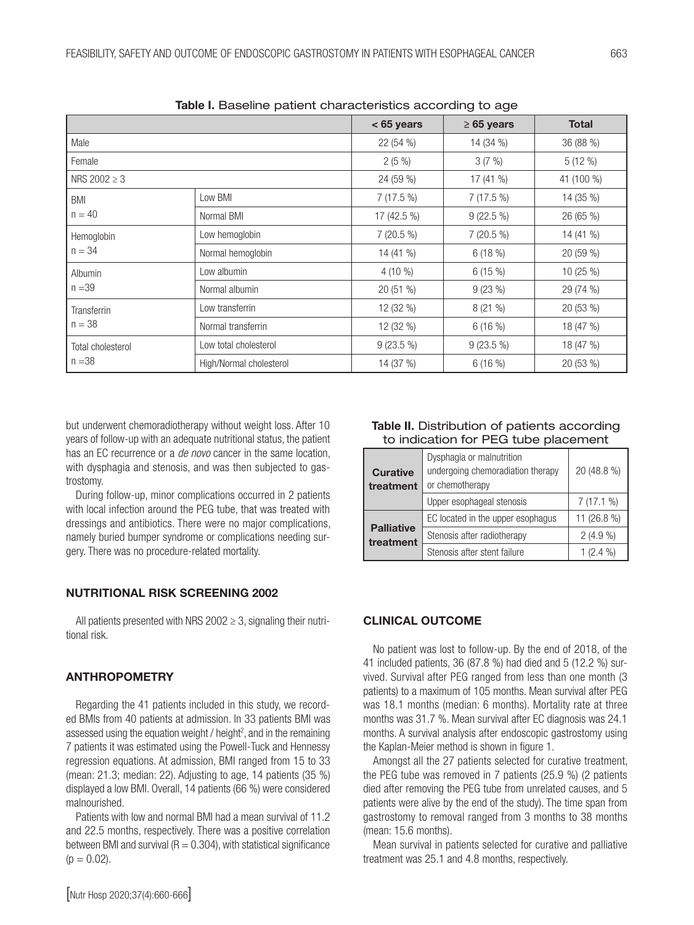|                                | <u>rabio i: Daocimic patient onal actoristico according to ago</u> |              |                 |              |  |
|--------------------------------|--------------------------------------------------------------------|--------------|-----------------|--------------|--|
|                                |                                                                    | $< 65$ years | $\geq 65$ years | <b>Total</b> |  |
| Male                           |                                                                    | 22(54%)      | 14 (34 %)       | 36 (88 %)    |  |
| Female                         |                                                                    | $2(5\%)$     | 3(7%)           | $5(12\%)$    |  |
| NRS $2002 \ge 3$               |                                                                    | 24 (59 %)    | 17(41%          | 41 (100 %)   |  |
| <b>BMI</b><br>$n = 40$         | Low BMI                                                            | $7(17.5\%)$  | 7 (17.5 %)      | 14 (35 %)    |  |
|                                | Normal BMI                                                         | 17 (42.5 %)  | $9(22.5\%)$     | 26 (65 %)    |  |
| Hemoglobin<br>$n = 34$         | Low hemoglobin                                                     | 7 (20.5 %)   | 7 (20.5 %)      | 14 (41 %)    |  |
|                                | Normal hemoglobin                                                  | 14 (41 %)    | 6(18%)          | 20 (59 %)    |  |
| Albumin<br>$n = 39$            | Low albumin                                                        | $4(10\%)$    | 6(15%)          | 10 (25 %)    |  |
|                                | Normal albumin                                                     | 20 (51 %)    | 9(23%)          | 29 (74 %)    |  |
| <b>Transferrin</b><br>$n = 38$ | Low transferrin                                                    | 12 (32 %)    | 8(21%           | 20 (53 %)    |  |
|                                | Normal transferrin                                                 | 12 (32 %)    | 6(16%)          | 18 (47 %)    |  |
| Total cholesterol<br>$n = 38$  | Low total cholesterol                                              | $9(23.5\%)$  | $9(23.5\%)$     | 18 (47 %)    |  |
|                                | High/Normal cholesterol                                            | 14 (37 %)    | 6(16%)          | 20 (53 %)    |  |

Table I. Baseline patient characteristics according to age

but underwent chemoradiotherapy without weight loss. After 10 years of follow-up with an adequate nutritional status, the patient has an EC recurrence or a *de novo* cancer in the same location, with dysphagia and stenosis, and was then subjected to gastrostomy.

During follow-up, minor complications occurred in 2 patients with local infection around the PEG tube, that was treated with dressings and antibiotics. There were no major complications, namely buried bumper syndrome or complications needing surgery. There was no procedure-related mortality.

# NUTRITIONAL RISK SCREENING 2002

All patients presented with NRS 2002  $\geq$  3, signaling their nutritional risk.

# ANTHROPOMETRY

Regarding the 41 patients included in this study, we recorded BMIs from 40 patients at admission. In 33 patients BMI was assessed using the equation weight / height<sup>2</sup>, and in the remaining 7 patients it was estimated using the Powell-Tuck and Hennessy regression equations. At admission, BMI ranged from 15 to 33 (mean: 21.3; median: 22). Adjusting to age, 14 patients (35 %) displayed a low BMI. Overall, 14 patients (66 %) were considered malnourished.

Patients with low and normal BMI had a mean survival of 11.2 and 22.5 months, respectively. There was a positive correlation between BMI and survival ( $R = 0.304$ ), with statistical significance  $(p = 0.02)$ .

#### Table II. Distribution of patients according to indication for PEG tube placement

| <b>Curative</b><br>treatment   | Dysphagia or malnutrition<br>undergoing chemoradiation therapy<br>or chemotherapy |             |
|--------------------------------|-----------------------------------------------------------------------------------|-------------|
|                                | Upper esophageal stenosis                                                         | 7(17.1%)    |
|                                | EC located in the upper esophagus                                                 | 11 (26.8 %) |
| <b>Palliative</b><br>treatment | Stenosis after radiotherapy                                                       | $2(4.9\%)$  |
|                                | Stenosis after stent failure                                                      | (2.4 %)     |

# CLINICAL OUTCOME

No patient was lost to follow-up. By the end of 2018, of the 41 included patients, 36 (87.8 %) had died and 5 (12.2 %) survived. Survival after PEG ranged from less than one month (3 patients) to a maximum of 105 months. Mean survival after PEG was 18.1 months (median: 6 months). Mortality rate at three months was 31.7 %. Mean survival after EC diagnosis was 24.1 months. A survival analysis after endoscopic gastrostomy using the Kaplan-Meier method is shown in figure 1.

Amongst all the 27 patients selected for curative treatment, the PEG tube was removed in 7 patients (25.9 %) (2 patients died after removing the PEG tube from unrelated causes, and 5 patients were alive by the end of the study). The time span from gastrostomy to removal ranged from 3 months to 38 months (mean: 15.6 months).

Mean survival in patients selected for curative and palliative treatment was 25.1 and 4.8 months, respectively.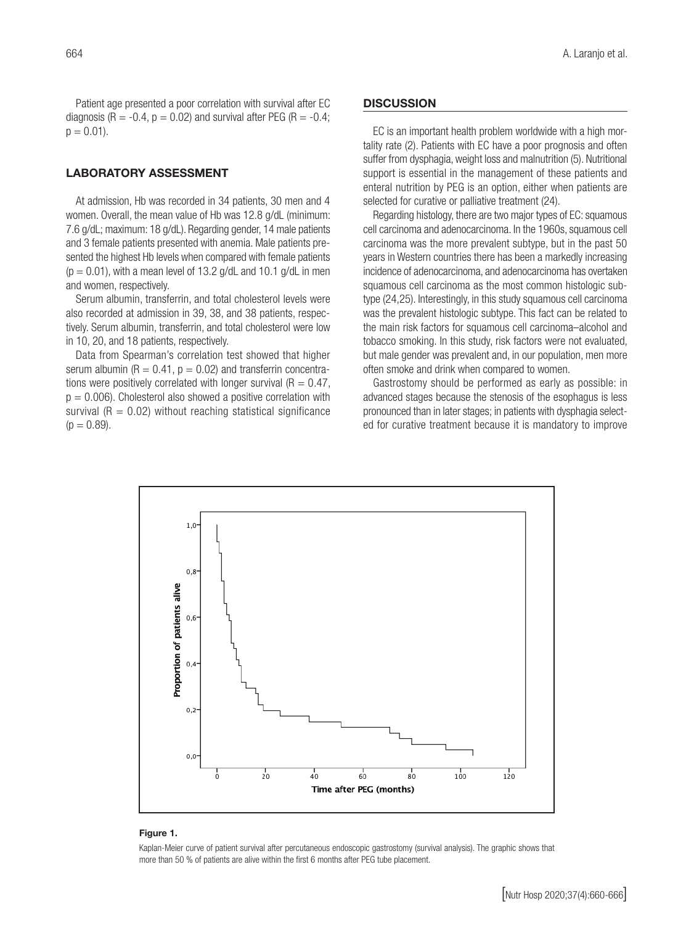Patient age presented a poor correlation with survival after EC diagnosis (R = -0.4,  $p = 0.02$ ) and survival after PEG (R = -0.4;  $p = 0.01$ ).

#### LABORATORY ASSESSMENT

At admission, Hb was recorded in 34 patients, 30 men and 4 women. Overall, the mean value of Hb was 12.8 g/dL (minimum: 7.6 g/dL; maximum: 18 g/dL). Regarding gender, 14 male patients and 3 female patients presented with anemia. Male patients presented the highest Hb levels when compared with female patients  $(p = 0.01)$ , with a mean level of 13.2 g/dL and 10.1 g/dL in men and women, respectively.

Serum albumin, transferrin, and total cholesterol levels were also recorded at admission in 39, 38, and 38 patients, respectively. Serum albumin, transferrin, and total cholesterol were low in 10, 20, and 18 patients, respectively.

Data from Spearman's correlation test showed that higher serum albumin ( $R = 0.41$ ,  $p = 0.02$ ) and transferrin concentrations were positively correlated with longer survival ( $R = 0.47$ ,  $p = 0.006$ ). Cholesterol also showed a positive correlation with survival ( $R = 0.02$ ) without reaching statistical significance  $(p = 0.89)$ .

#### **DISCUSSION**

EC is an important health problem worldwide with a high mortality rate (2). Patients with EC have a poor prognosis and often suffer from dysphagia, weight loss and malnutrition (5). Nutritional support is essential in the management of these patients and enteral nutrition by PEG is an option, either when patients are selected for curative or palliative treatment (24).

Regarding histology, there are two major types of EC: squamous cell carcinoma and adenocarcinoma. In the 1960s, squamous cell carcinoma was the more prevalent subtype, but in the past 50 years in Western countries there has been a markedly increasing incidence of adenocarcinoma, and adenocarcinoma has overtaken squamous cell carcinoma as the most common histologic subtype (24,25). Interestingly, in this study squamous cell carcinoma was the prevalent histologic subtype. This fact can be related to the main risk factors for squamous cell carcinoma–alcohol and tobacco smoking. In this study, risk factors were not evaluated, but male gender was prevalent and, in our population, men more often smoke and drink when compared to women.

Gastrostomy should be performed as early as possible: in advanced stages because the stenosis of the esophagus is less pronounced than in later stages; in patients with dysphagia selected for curative treatment because it is mandatory to improve



#### Figure 1.

Kaplan-Meier curve of patient survival after percutaneous endoscopic gastrostomy (survival analysis). The graphic shows that more than 50 % of patients are alive within the first 6 months after PEG tube placement.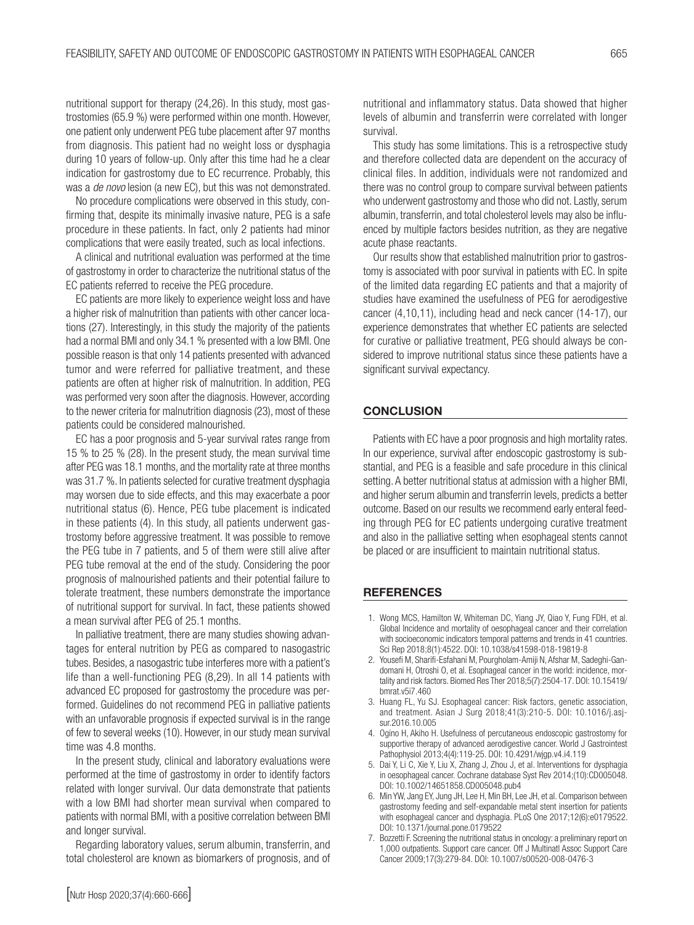nutritional support for therapy (24,26). In this study, most gastrostomies (65.9 %) were performed within one month. However, one patient only underwent PEG tube placement after 97 months from diagnosis. This patient had no weight loss or dysphagia during 10 years of follow-up. Only after this time had he a clear indication for gastrostomy due to EC recurrence. Probably, this was a *de novo* lesion (a new EC), but this was not demonstrated.

No procedure complications were observed in this study, confirming that, despite its minimally invasive nature, PEG is a safe procedure in these patients. In fact, only 2 patients had minor complications that were easily treated, such as local infections.

A clinical and nutritional evaluation was performed at the time of gastrostomy in order to characterize the nutritional status of the EC patients referred to receive the PEG procedure.

EC patients are more likely to experience weight loss and have a higher risk of malnutrition than patients with other cancer locations (27). Interestingly, in this study the majority of the patients had a normal BMI and only 34.1 % presented with a low BMI. One possible reason is that only 14 patients presented with advanced tumor and were referred for palliative treatment, and these patients are often at higher risk of malnutrition. In addition, PEG was performed very soon after the diagnosis. However, according to the newer criteria for malnutrition diagnosis (23), most of these patients could be considered malnourished.

EC has a poor prognosis and 5-year survival rates range from 15 % to 25 % (28). In the present study, the mean survival time after PEG was 18.1 months, and the mortality rate at three months was 31.7 %. In patients selected for curative treatment dysphagia may worsen due to side effects, and this may exacerbate a poor nutritional status (6). Hence, PEG tube placement is indicated in these patients (4). In this study, all patients underwent gastrostomy before aggressive treatment. It was possible to remove the PEG tube in 7 patients, and 5 of them were still alive after PEG tube removal at the end of the study. Considering the poor prognosis of malnourished patients and their potential failure to tolerate treatment, these numbers demonstrate the importance of nutritional support for survival. In fact, these patients showed a mean survival after PEG of 25.1 months.

In palliative treatment, there are many studies showing advantages for enteral nutrition by PEG as compared to nasogastric tubes. Besides, a nasogastric tube interferes more with a patient's life than a well-functioning PEG (8,29). In all 14 patients with advanced EC proposed for gastrostomy the procedure was performed. Guidelines do not recommend PEG in palliative patients with an unfavorable prognosis if expected survival is in the range of few to several weeks (10). However, in our study mean survival time was 4.8 months.

In the present study, clinical and laboratory evaluations were performed at the time of gastrostomy in order to identify factors related with longer survival. Our data demonstrate that patients with a low BMI had shorter mean survival when compared to patients with normal BMI, with a positive correlation between BMI and longer survival.

Regarding laboratory values, serum albumin, transferrin, and total cholesterol are known as biomarkers of prognosis, and of

This study has some limitations. This is a retrospective study and therefore collected data are dependent on the accuracy of clinical files. In addition, individuals were not randomized and there was no control group to compare survival between patients who underwent gastrostomy and those who did not. Lastly, serum albumin, transferrin, and total cholesterol levels may also be influenced by multiple factors besides nutrition, as they are negative acute phase reactants.

Our results show that established malnutrition prior to gastrostomy is associated with poor survival in patients with EC. In spite of the limited data regarding EC patients and that a majority of studies have examined the usefulness of PEG for aerodigestive cancer (4,10,11), including head and neck cancer (14-17), our experience demonstrates that whether EC patients are selected for curative or palliative treatment, PEG should always be considered to improve nutritional status since these patients have a significant survival expectancy.

# **CONCLUSION**

Patients with EC have a poor prognosis and high mortality rates. In our experience, survival after endoscopic gastrostomy is substantial, and PEG is a feasible and safe procedure in this clinical setting. A better nutritional status at admission with a higher BMI, and higher serum albumin and transferrin levels, predicts a better outcome. Based on our results we recommend early enteral feeding through PEG for EC patients undergoing curative treatment and also in the palliative setting when esophageal stents cannot be placed or are insufficient to maintain nutritional status.

#### **REFERENCES**

- 1. Wong MCS, Hamilton W, Whiteman DC, Yiang JY, Qiao Y, Fung FDH, et al. Global Incidence and mortality of oesophageal cancer and their correlation with socioeconomic indicators temporal patterns and trends in 41 countries. Sci Rep 2018;8(1):4522. DOI: 10.1038/s41598-018-19819-8
- 2. Yousefi M, Sharifi-Esfahani M, Pourgholam-Amiji N, Afshar M, Sadeghi-Gandomani H, Otroshi O, et al. Esophageal cancer in the world: incidence, mortality and risk factors. Biomed Res Ther 2018;5(7):2504-17. DOI: 10.15419/ bmrat.v5i7.460
- 3. Huang FL, Yu SJ. Esophageal cancer: Risk factors, genetic association, and treatment. Asian J Surg 2018;41(3):210-5. DOI: 10.1016/j.asjsur.2016.10.005
- 4. Ogino H, Akiho H. Usefulness of percutaneous endoscopic gastrostomy for supportive therapy of advanced aerodigestive cancer. World J Gastrointest Pathophysiol 2013;4(4):119-25. DOI: 10.4291/wjgp.v4.i4.119
- 5. Dai Y, Li C, Xie Y, Liu X, Zhang J, Zhou J, et al. Interventions for dysphagia in oesophageal cancer. Cochrane database Syst Rev 2014;(10):CD005048. DOI: 10.1002/14651858.CD005048.pub4
- 6. Min YW, Jang EY, Jung JH, Lee H, Min BH, Lee JH, et al. Comparison between gastrostomy feeding and self-expandable metal stent insertion for patients with esophageal cancer and dysphagia. PLoS One 2017;12(6):e0179522. DOI: 10.1371/journal.pone.0179522
- 7. Bozzetti F. Screening the nutritional status in oncology: a preliminary report on 1,000 outpatients. Support care cancer. Off J Multinatl Assoc Support Care Cancer 2009;17(3):279-84. DOI: 10.1007/s00520-008-0476-3